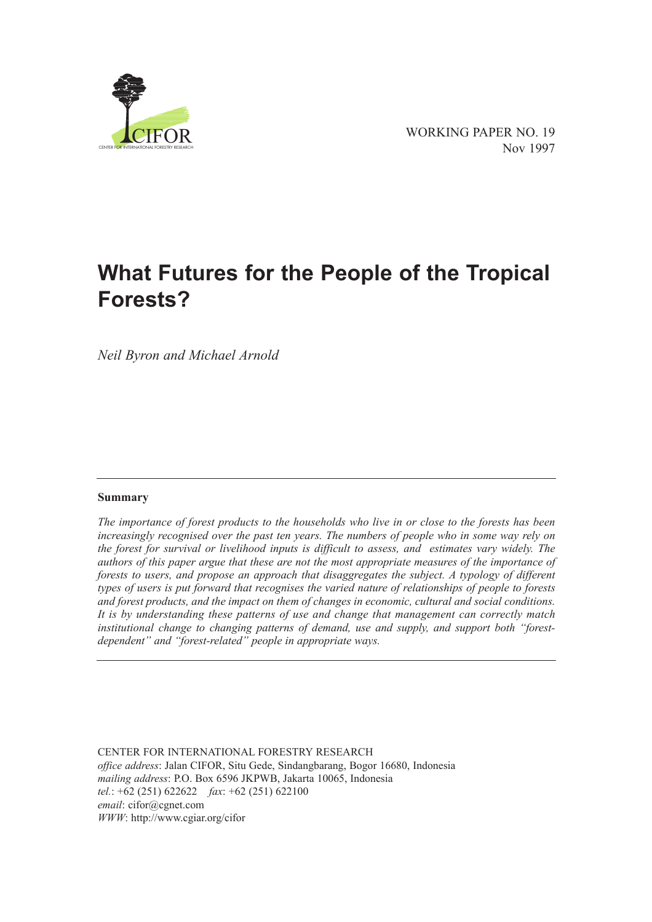

WORKING PAPER NO. 19 Nov 1997

# **What Futures for the People of the Tropical Forests?**

*Neil Byron and Michael Arnold*

## **Summary**

*The importance of forest products to the households who live in or close to the forests has been increasingly recognised over the past ten years. The numbers of people who in some way rely on the forest for survival or livelihood inputs is difficult to assess, and estimates vary widely. The authors of this paper argue that these are not the most appropriate measures of the importance of forests to users, and propose an approach that disaggregates the subject. A typology of different types of users is put forward that recognises the varied nature of relationships of people to forests and forest products, and the impact on them of changes in economic, cultural and social conditions. It is by understanding these patterns of use and change that management can correctly match institutional change to changing patterns of demand, use and supply, and support both "forestdependent" and "forest-related" people in appropriate ways.*

CENTER FOR INTERNATIONAL FORESTRY RESEARCH *office address*: Jalan CIFOR, Situ Gede, Sindangbarang, Bogor 16680, Indonesia *mailing address*: P.O. Box 6596 JKPWB, Jakarta 10065, Indonesia *tel.*: +62 (251) 622622 *fax*: +62 (251) 622100 *email*: cifor@cgnet.com *WWW*: http://www.cgiar.org/cifor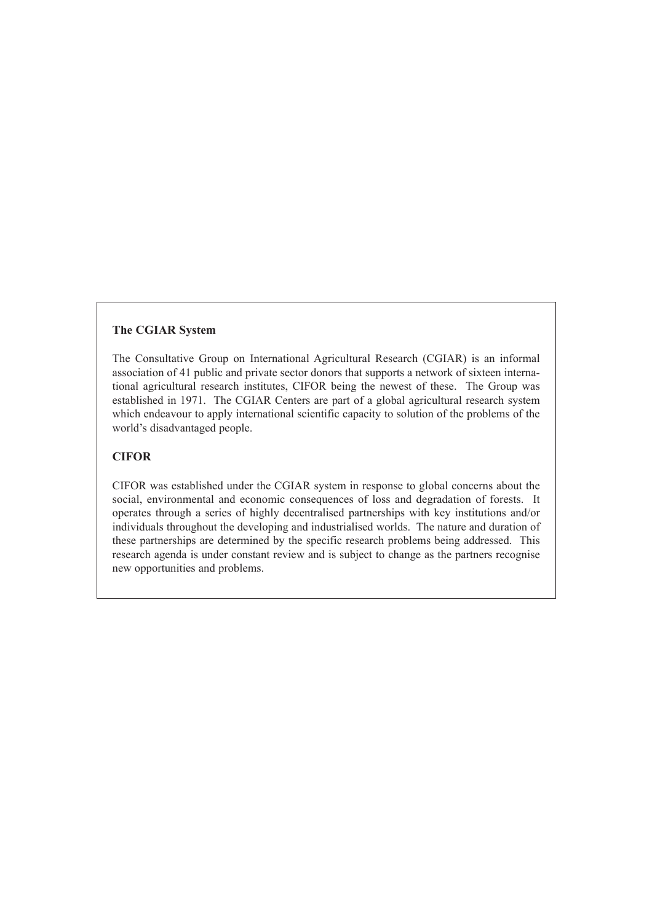## **The CGIAR System**

The Consultative Group on International Agricultural Research (CGIAR) is an informal association of 41 public and private sector donors that supports a network of sixteen international agricultural research institutes, CIFOR being the newest of these. The Group was established in 1971. The CGIAR Centers are part of a global agricultural research system which endeavour to apply international scientific capacity to solution of the problems of the world's disadvantaged people.

## **CIFOR**

CIFOR was established under the CGIAR system in response to global concerns about the social, environmental and economic consequences of loss and degradation of forests. It operates through a series of highly decentralised partnerships with key institutions and/or individuals throughout the developing and industrialised worlds. The nature and duration of these partnerships are determined by the specific research problems being addressed. This research agenda is under constant review and is subject to change as the partners recognise new opportunities and problems.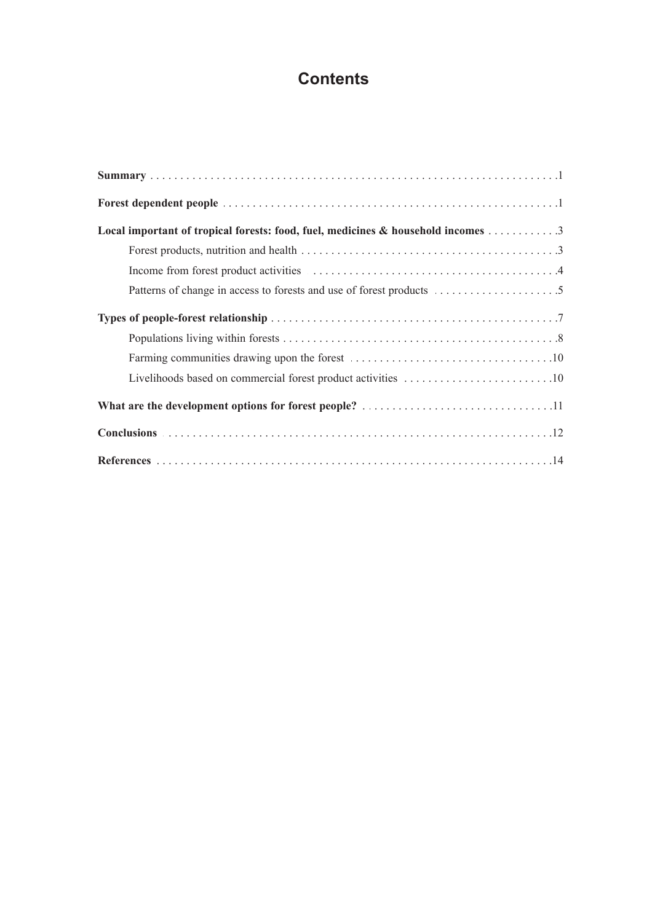## **Contents**

| Local important of tropical forests: food, fuel, medicines & household incomes 3 |  |  |  |
|----------------------------------------------------------------------------------|--|--|--|
|                                                                                  |  |  |  |
|                                                                                  |  |  |  |
|                                                                                  |  |  |  |
|                                                                                  |  |  |  |
|                                                                                  |  |  |  |
|                                                                                  |  |  |  |
| Livelihoods based on commercial forest product activities 10                     |  |  |  |
|                                                                                  |  |  |  |
|                                                                                  |  |  |  |
|                                                                                  |  |  |  |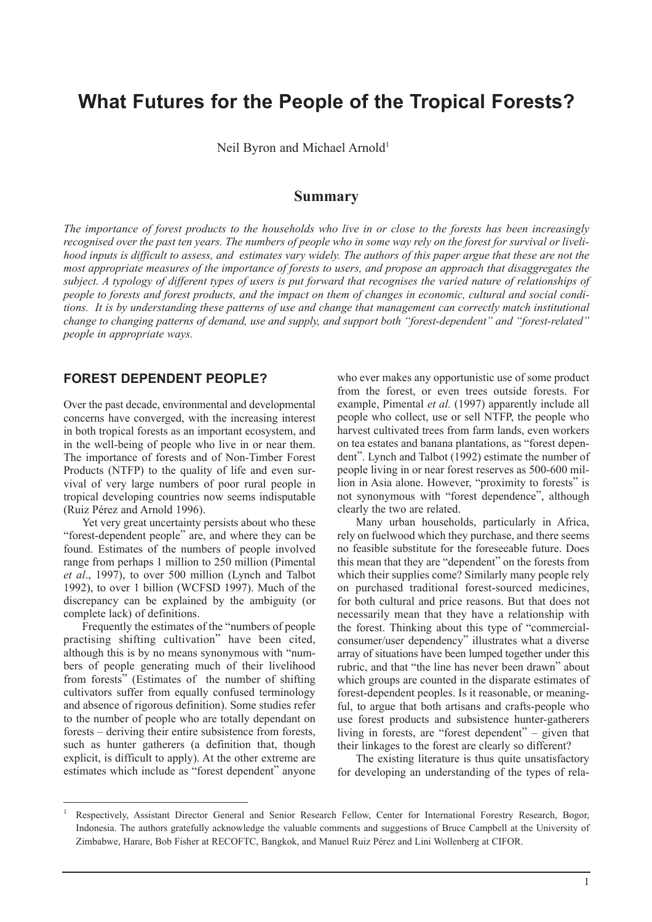## <span id="page-3-0"></span>**What Futures for the People of the Tropical Forests?**

Neil Byron and Michael Arnold<sup>1</sup>

## **Summary**

*The importance of forest products to the households who live in or close to the forests has been increasingly recognised over the past ten years. The numbers of people who in some way rely on the forest for survival or livelihood inputs is difficult to assess, and estimates vary widely. The authors of this paper argue that these are not the most appropriate measures of the importance of forests to users, and propose an approach that disaggregates the subject. A typology of different types of users is put forward that recognises the varied nature of relationships of people to forests and forest products, and the impact on them of changes in economic, cultural and social conditions. It is by understanding these patterns of use and change that management can correctly match institutional change to changing patterns of demand, use and supply, and support both "forest-dependent" and "forest-related" people in appropriate ways.*

## **FOREST DEPENDENT PEOPLE?**

Over the past decade, environmental and developmental concerns have converged, with the increasing interest in both tropical forests as an important ecosystem, and in the well-being of people who live in or near them. The importance of forests and of Non-Timber Forest Products (NTFP) to the quality of life and even survival of very large numbers of poor rural people in tropical developing countries now seems indisputable (Ruiz Pérez and Arnold 1996).

Yet very great uncertainty persists about who these "forest-dependent people" are, and where they can be found. Estimates of the numbers of people involved range from perhaps 1 million to 250 million (Pimental *et al*., 1997), to over 500 million (Lynch and Talbot 1992), to over 1 billion (WCFSD 1997). Much of the discrepancy can be explained by the ambiguity (or complete lack) of definitions.

Frequently the estimates of the "numbers of people practising shifting cultivation" have been cited, although this is by no means synonymous with "numbers of people generating much of their livelihood from forests" (Estimates of the number of shifting cultivators suffer from equally confused terminology and absence of rigorous definition). Some studies refer to the number of people who are totally dependant on forests – deriving their entire subsistence from forests, such as hunter gatherers (a definition that, though explicit, is difficult to apply). At the other extreme are estimates which include as "forest dependent" anyone who ever makes any opportunistic use of some product from the forest, or even trees outside forests. For example, Pimental *et al.* (1997) apparently include all people who collect, use or sell NTFP, the people who harvest cultivated trees from farm lands, even workers on tea estates and banana plantations, as "forest dependent". Lynch and Talbot (1992) estimate the number of people living in or near forest reserves as 500-600 million in Asia alone. However, "proximity to forests" is not synonymous with "forest dependence", although clearly the two are related.

Many urban households, particularly in Africa, rely on fuelwood which they purchase, and there seems no feasible substitute for the foreseeable future. Does this mean that they are "dependent" on the forests from which their supplies come? Similarly many people rely on purchased traditional forest-sourced medicines, for both cultural and price reasons. But that does not necessarily mean that they have a relationship with the forest. Thinking about this type of "commercialconsumer/user dependency" illustrates what a diverse array of situations have been lumped together under this rubric, and that "the line has never been drawn" about which groups are counted in the disparate estimates of forest-dependent peoples. Is it reasonable, or meaningful, to argue that both artisans and crafts-people who use forest products and subsistence hunter-gatherers living in forests, are "forest dependent" – given that their linkages to the forest are clearly so different?

The existing literature is thus quite unsatisfactory for developing an understanding of the types of rela-

<sup>1</sup> Respectively, Assistant Director General and Senior Research Fellow, Center for International Forestry Research, Bogor, Indonesia. The authors gratefully acknowledge the valuable comments and suggestions of Bruce Campbell at the University of Zimbabwe, Harare, Bob Fisher at RECOFTC, Bangkok, and Manuel Ruiz Pérez and Lini Wollenberg at CIFOR.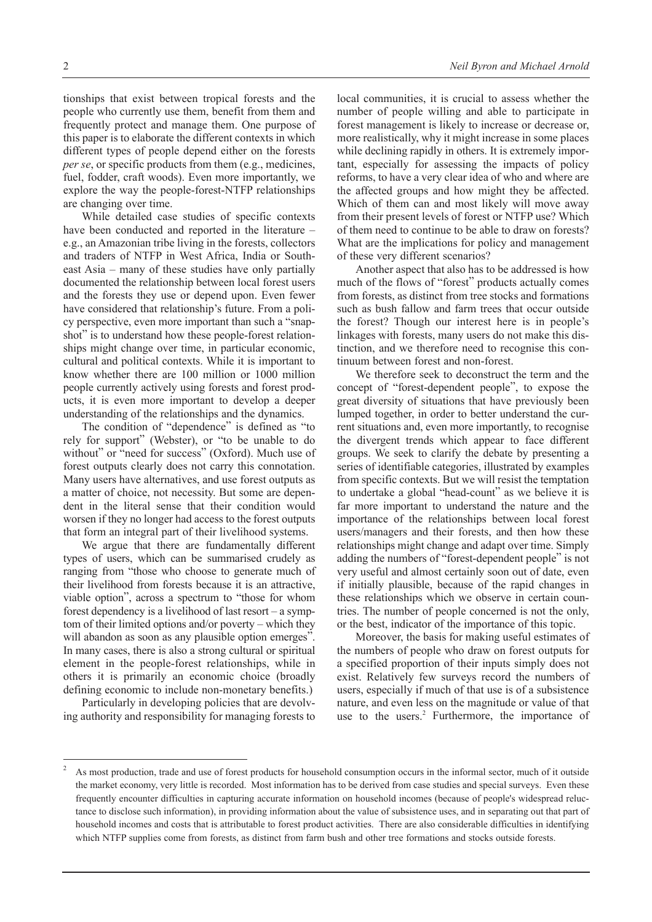tionships that exist between tropical forests and the people who currently use them, benefit from them and frequently protect and manage them. One purpose of this paper is to elaborate the different contexts in which different types of people depend either on the forests *per se*, or specific products from them (e.g., medicines, fuel, fodder, craft woods). Even more importantly, we explore the way the people-forest-NTFP relationships are changing over time.

While detailed case studies of specific contexts have been conducted and reported in the literature – e.g., an Amazonian tribe living in the forests, collectors and traders of NTFP in West Africa, India or Southeast Asia – many of these studies have only partially documented the relationship between local forest users and the forests they use or depend upon. Even fewer have considered that relationship's future. From a policy perspective, even more important than such a "snapshot" is to understand how these people-forest relationships might change over time, in particular economic, cultural and political contexts. While it is important to know whether there are 100 million or 1000 million people currently actively using forests and forest products, it is even more important to develop a deeper understanding of the relationships and the dynamics.

The condition of "dependence" is defined as "to rely for support" (Webster), or "to be unable to do without" or "need for success" (Oxford). Much use of forest outputs clearly does not carry this connotation. Many users have alternatives, and use forest outputs as a matter of choice, not necessity. But some are dependent in the literal sense that their condition would worsen if they no longer had access to the forest outputs that form an integral part of their livelihood systems.

We argue that there are fundamentally different types of users, which can be summarised crudely as ranging from "those who choose to generate much of their livelihood from forests because it is an attractive, viable option", across a spectrum to "those for whom forest dependency is a livelihood of last resort – a symptom of their limited options and/or poverty – which they will abandon as soon as any plausible option emerges". In many cases, there is also a strong cultural or spiritual element in the people-forest relationships, while in others it is primarily an economic choice (broadly defining economic to include non-monetary benefits.)

Particularly in developing policies that are devolving authority and responsibility for managing forests to local communities, it is crucial to assess whether the number of people willing and able to participate in forest management is likely to increase or decrease or, more realistically, why it might increase in some places while declining rapidly in others. It is extremely important, especially for assessing the impacts of policy reforms, to have a very clear idea of who and where are the affected groups and how might they be affected. Which of them can and most likely will move away from their present levels of forest or NTFP use? Which of them need to continue to be able to draw on forests? What are the implications for policy and management of these very different scenarios?

Another aspect that also has to be addressed is how much of the flows of "forest" products actually comes from forests, as distinct from tree stocks and formations such as bush fallow and farm trees that occur outside the forest? Though our interest here is in people's linkages with forests, many users do not make this distinction, and we therefore need to recognise this continuum between forest and non-forest.

We therefore seek to deconstruct the term and the concept of "forest-dependent people", to expose the great diversity of situations that have previously been lumped together, in order to better understand the current situations and, even more importantly, to recognise the divergent trends which appear to face different groups. We seek to clarify the debate by presenting a series of identifiable categories, illustrated by examples from specific contexts. But we will resist the temptation to undertake a global "head-count" as we believe it is far more important to understand the nature and the importance of the relationships between local forest users/managers and their forests, and then how these relationships might change and adapt over time. Simply adding the numbers of "forest-dependent people" is not very useful and almost certainly soon out of date, even if initially plausible, because of the rapid changes in these relationships which we observe in certain countries. The number of people concerned is not the only, or the best, indicator of the importance of this topic.

Moreover, the basis for making useful estimates of the numbers of people who draw on forest outputs for a specified proportion of their inputs simply does not exist. Relatively few surveys record the numbers of users, especially if much of that use is of a subsistence nature, and even less on the magnitude or value of that use to the users.<sup>2</sup> Furthermore, the importance of

<sup>2</sup> As most production, trade and use of forest products for household consumption occurs in the informal sector, much of it outside the market economy, very little is recorded. Most information has to be derived from case studies and special surveys. Even these frequently encounter difficulties in capturing accurate information on household incomes (because of people's widespread reluctance to disclose such information), in providing information about the value of subsistence uses, and in separating out that part of household incomes and costs that is attributable to forest product activities. There are also considerable difficulties in identifying which NTFP supplies come from forests, as distinct from farm bush and other tree formations and stocks outside forests.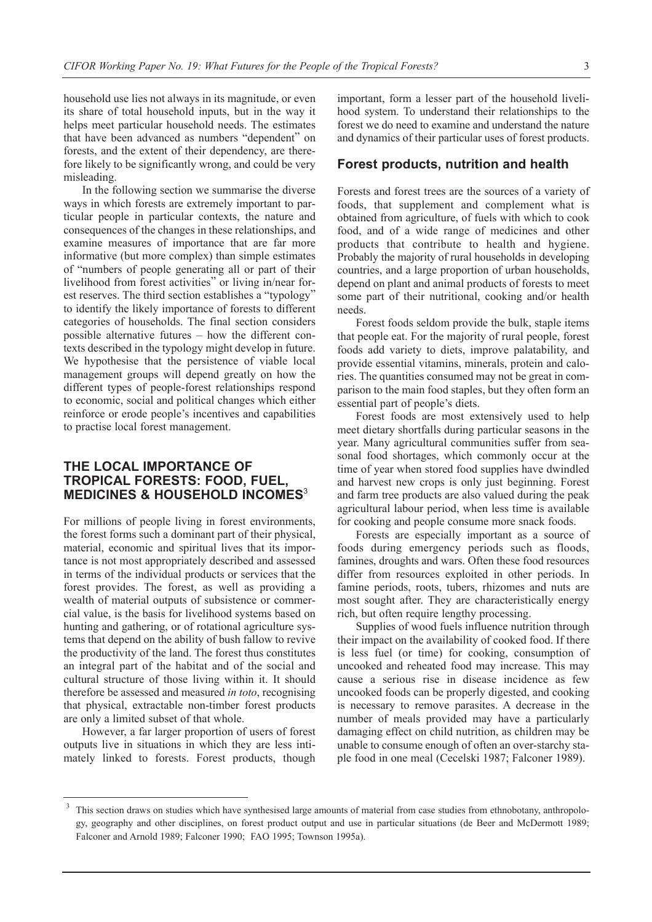<span id="page-5-0"></span>household use lies not always in its magnitude, or even its share of total household inputs, but in the way it helps meet particular household needs. The estimates that have been advanced as numbers "dependent" on forests, and the extent of their dependency, are therefore likely to be significantly wrong, and could be very misleading.

In the following section we summarise the diverse ways in which forests are extremely important to particular people in particular contexts, the nature and consequences of the changes in these relationships, and examine measures of importance that are far more informative (but more complex) than simple estimates of "numbers of people generating all or part of their livelihood from forest activities" or living in/near forest reserves. The third section establishes a "typology" to identify the likely importance of forests to different categories of households. The final section considers possible alternative futures – how the different contexts described in the typology might develop in future. We hypothesise that the persistence of viable local management groups will depend greatly on how the different types of people-forest relationships respond to economic, social and political changes which either reinforce or erode people's incentives and capabilities to practise local forest management.

## **THE LOCAL IMPORTANCE OF TROPICAL FORESTS: FOOD, FUEL, MEDICINES & HOUSEHOLD INCOMES**<sup>3</sup>

For millions of people living in forest environments, the forest forms such a dominant part of their physical, material, economic and spiritual lives that its importance is not most appropriately described and assessed in terms of the individual products or services that the forest provides. The forest, as well as providing a wealth of material outputs of subsistence or commercial value, is the basis for livelihood systems based on hunting and gathering, or of rotational agriculture systems that depend on the ability of bush fallow to revive the productivity of the land. The forest thus constitutes an integral part of the habitat and of the social and cultural structure of those living within it. It should therefore be assessed and measured *in toto*, recognising that physical, extractable non-timber forest products are only a limited subset of that whole.

However, a far larger proportion of users of forest outputs live in situations in which they are less intimately linked to forests. Forest products, though important, form a lesser part of the household livelihood system. To understand their relationships to the forest we do need to examine and understand the nature and dynamics of their particular uses of forest products.

#### **Forest products, nutrition and health**

Forests and forest trees are the sources of a variety of foods, that supplement and complement what is obtained from agriculture, of fuels with which to cook food, and of a wide range of medicines and other products that contribute to health and hygiene. Probably the majority of rural households in developing countries, and a large proportion of urban households, depend on plant and animal products of forests to meet some part of their nutritional, cooking and/or health needs.

Forest foods seldom provide the bulk, staple items that people eat. For the majority of rural people, forest foods add variety to diets, improve palatability, and provide essential vitamins, minerals, protein and calories. The quantities consumed may not be great in comparison to the main food staples, but they often form an essential part of people's diets.

Forest foods are most extensively used to help meet dietary shortfalls during particular seasons in the year. Many agricultural communities suffer from seasonal food shortages, which commonly occur at the time of year when stored food supplies have dwindled and harvest new crops is only just beginning. Forest and farm tree products are also valued during the peak agricultural labour period, when less time is available for cooking and people consume more snack foods.

Forests are especially important as a source of foods during emergency periods such as floods, famines, droughts and wars. Often these food resources differ from resources exploited in other periods. In famine periods, roots, tubers, rhizomes and nuts are most sought after. They are characteristically energy rich, but often require lengthy processing.

Supplies of wood fuels influence nutrition through their impact on the availability of cooked food. If there is less fuel (or time) for cooking, consumption of uncooked and reheated food may increase. This may cause a serious rise in disease incidence as few uncooked foods can be properly digested, and cooking is necessary to remove parasites. A decrease in the number of meals provided may have a particularly damaging effect on child nutrition, as children may be unable to consume enough of often an over-starchy staple food in one meal (Cecelski 1987; Falconer 1989).

This section draws on studies which have synthesised large amounts of material from case studies from ethnobotany, anthropology, geography and other disciplines, on forest product output and use in particular situations (de Beer and McDermott 1989; Falconer and Arnold 1989; Falconer 1990; FAO 1995; Townson 1995a).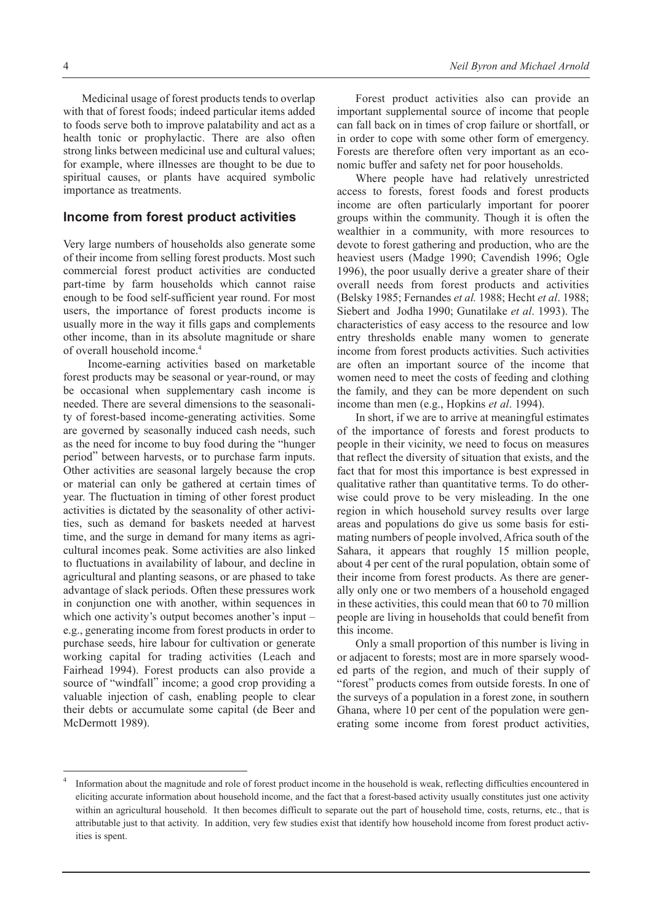<span id="page-6-0"></span>Medicinal usage of forest products tends to overlap with that of forest foods; indeed particular items added to foods serve both to improve palatability and act as a health tonic or prophylactic. There are also often strong links between medicinal use and cultural values; for example, where illnesses are thought to be due to spiritual causes, or plants have acquired symbolic importance as treatments.

#### **Income from forest product activities**

Very large numbers of households also generate some of their income from selling forest products. Most such commercial forest product activities are conducted part-time by farm households which cannot raise enough to be food self-sufficient year round. For most users, the importance of forest products income is usually more in the way it fills gaps and complements other income, than in its absolute magnitude or share of overall household income.4

Income-earning activities based on marketable forest products may be seasonal or year-round, or may be occasional when supplementary cash income is needed. There are several dimensions to the seasonality of forest-based income-generating activities. Some are governed by seasonally induced cash needs, such as the need for income to buy food during the "hunger period" between harvests, or to purchase farm inputs. Other activities are seasonal largely because the crop or material can only be gathered at certain times of year. The fluctuation in timing of other forest product activities is dictated by the seasonality of other activities, such as demand for baskets needed at harvest time, and the surge in demand for many items as agricultural incomes peak. Some activities are also linked to fluctuations in availability of labour, and decline in agricultural and planting seasons, or are phased to take advantage of slack periods. Often these pressures work in conjunction one with another, within sequences in which one activity's output becomes another's input – e.g., generating income from forest products in order to purchase seeds, hire labour for cultivation or generate working capital for trading activities (Leach and Fairhead 1994). Forest products can also provide a source of "windfall" income; a good crop providing a valuable injection of cash, enabling people to clear their debts or accumulate some capital (de Beer and McDermott 1989).

Forest product activities also can provide an important supplemental source of income that people can fall back on in times of crop failure or shortfall, or in order to cope with some other form of emergency. Forests are therefore often very important as an economic buffer and safety net for poor households.

Where people have had relatively unrestricted access to forests, forest foods and forest products income are often particularly important for poorer groups within the community. Though it is often the wealthier in a community, with more resources to devote to forest gathering and production, who are the heaviest users (Madge 1990; Cavendish 1996; Ogle 1996), the poor usually derive a greater share of their overall needs from forest products and activities (Belsky 1985; Fernandes *et al.* 1988; Hecht *et al*. 1988; Siebert and Jodha 1990; Gunatilake *et al*. 1993). The characteristics of easy access to the resource and low entry thresholds enable many women to generate income from forest products activities. Such activities are often an important source of the income that women need to meet the costs of feeding and clothing the family, and they can be more dependent on such income than men (e.g., Hopkins *et al*. 1994).

In short, if we are to arrive at meaningful estimates of the importance of forests and forest products to people in their vicinity, we need to focus on measures that reflect the diversity of situation that exists, and the fact that for most this importance is best expressed in qualitative rather than quantitative terms. To do otherwise could prove to be very misleading. In the one region in which household survey results over large areas and populations do give us some basis for estimating numbers of people involved, Africa south of the Sahara, it appears that roughly 15 million people, about 4 per cent of the rural population, obtain some of their income from forest products. As there are generally only one or two members of a household engaged in these activities, this could mean that 60 to 70 million people are living in households that could benefit from this income.

Only a small proportion of this number is living in or adjacent to forests; most are in more sparsely wooded parts of the region, and much of their supply of "forest" products comes from outside forests. In one of the surveys of a population in a forest zone, in southern Ghana, where 10 per cent of the population were generating some income from forest product activities,

<sup>4</sup> Information about the magnitude and role of forest product income in the household is weak, reflecting difficulties encountered in eliciting accurate information about household income, and the fact that a forest-based activity usually constitutes just one activity within an agricultural household. It then becomes difficult to separate out the part of household time, costs, returns, etc., that is attributable just to that activity. In addition, very few studies exist that identify how household income from forest product activities is spent.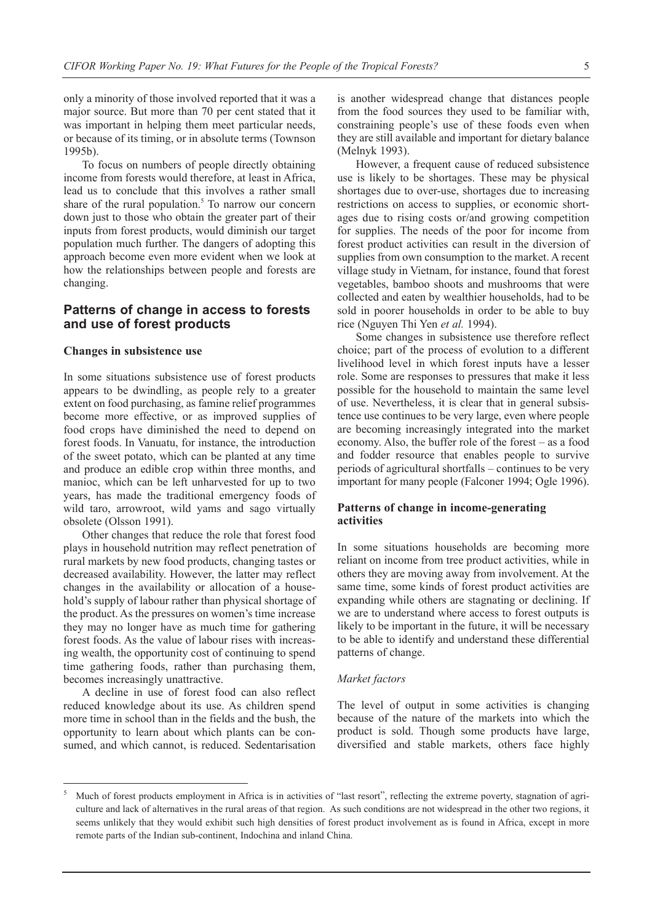<span id="page-7-0"></span>only a minority of those involved reported that it was a major source. But more than 70 per cent stated that it was important in helping them meet particular needs, or because of its timing, or in absolute terms (Townson 1995b).

To focus on numbers of people directly obtaining income from forests would therefore, at least in Africa, lead us to conclude that this involves a rather small share of the rural population. $5$  To narrow our concern down just to those who obtain the greater part of their inputs from forest products, would diminish our target population much further. The dangers of adopting this approach become even more evident when we look at how the relationships between people and forests are changing.

### **Patterns of change in access to forests and use of forest products**

#### **Changes in subsistence use**

In some situations subsistence use of forest products appears to be dwindling, as people rely to a greater extent on food purchasing, as famine relief programmes become more effective, or as improved supplies of food crops have diminished the need to depend on forest foods. In Vanuatu, for instance, the introduction of the sweet potato, which can be planted at any time and produce an edible crop within three months, and manioc, which can be left unharvested for up to two years, has made the traditional emergency foods of wild taro, arrowroot, wild yams and sago virtually obsolete (Olsson 1991).

Other changes that reduce the role that forest food plays in household nutrition may reflect penetration of rural markets by new food products, changing tastes or decreased availability. However, the latter may reflect changes in the availability or allocation of a household's supply of labour rather than physical shortage of the product. As the pressures on women's time increase they may no longer have as much time for gathering forest foods. As the value of labour rises with increasing wealth, the opportunity cost of continuing to spend time gathering foods, rather than purchasing them, becomes increasingly unattractive.

A decline in use of forest food can also reflect reduced knowledge about its use. As children spend more time in school than in the fields and the bush, the opportunity to learn about which plants can be consumed, and which cannot, is reduced. Sedentarisation is another widespread change that distances people from the food sources they used to be familiar with, constraining people's use of these foods even when they are still available and important for dietary balance (Melnyk 1993).

However, a frequent cause of reduced subsistence use is likely to be shortages. These may be physical shortages due to over-use, shortages due to increasing restrictions on access to supplies, or economic shortages due to rising costs or/and growing competition for supplies. The needs of the poor for income from forest product activities can result in the diversion of supplies from own consumption to the market. A recent village study in Vietnam, for instance, found that forest vegetables, bamboo shoots and mushrooms that were collected and eaten by wealthier households, had to be sold in poorer households in order to be able to buy rice (Nguyen Thi Yen *et al.* 1994).

Some changes in subsistence use therefore reflect choice; part of the process of evolution to a different livelihood level in which forest inputs have a lesser role. Some are responses to pressures that make it less possible for the household to maintain the same level of use. Nevertheless, it is clear that in general subsistence use continues to be very large, even where people are becoming increasingly integrated into the market economy. Also, the buffer role of the forest – as a food and fodder resource that enables people to survive periods of agricultural shortfalls – continues to be very important for many people (Falconer 1994; Ogle 1996).

#### **Patterns of change in income-generating activities**

In some situations households are becoming more reliant on income from tree product activities, while in others they are moving away from involvement. At the same time, some kinds of forest product activities are expanding while others are stagnating or declining. If we are to understand where access to forest outputs is likely to be important in the future, it will be necessary to be able to identify and understand these differential patterns of change.

#### *Market factors*

The level of output in some activities is changing because of the nature of the markets into which the product is sold. Though some products have large, diversified and stable markets, others face highly

<sup>5</sup> Much of forest products employment in Africa is in activities of "last resort", reflecting the extreme poverty, stagnation of agriculture and lack of alternatives in the rural areas of that region. As such conditions are not widespread in the other two regions, it seems unlikely that they would exhibit such high densities of forest product involvement as is found in Africa, except in more remote parts of the Indian sub-continent, Indochina and inland China.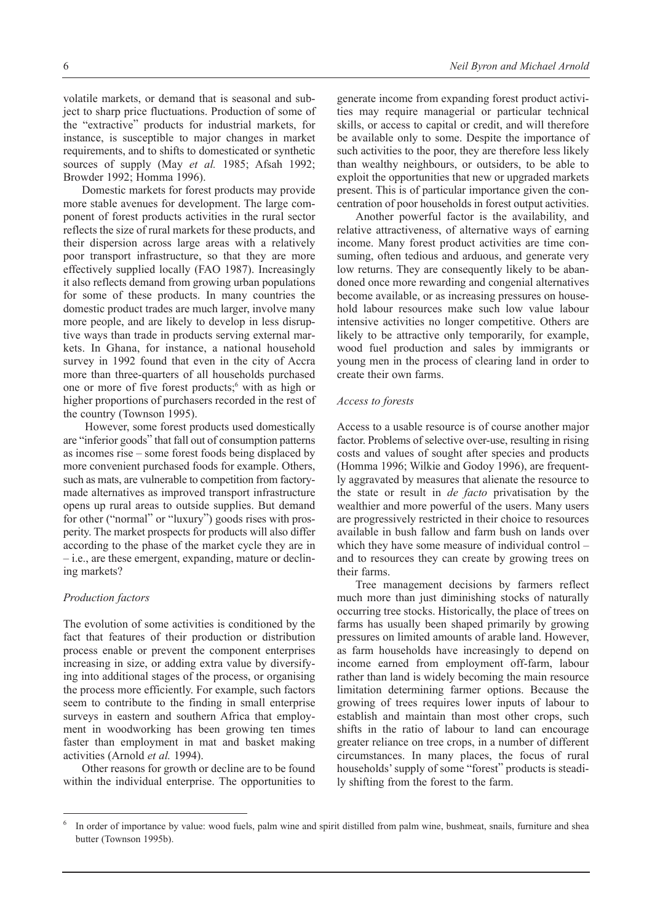volatile markets, or demand that is seasonal and subject to sharp price fluctuations. Production of some of the "extractive" products for industrial markets, for instance, is susceptible to major changes in market requirements, and to shifts to domesticated or synthetic sources of supply (May *et al.* 1985; Afsah 1992; Browder 1992; Homma 1996).

Domestic markets for forest products may provide more stable avenues for development. The large component of forest products activities in the rural sector reflects the size of rural markets for these products, and their dispersion across large areas with a relatively poor transport infrastructure, so that they are more effectively supplied locally (FAO 1987). Increasingly it also reflects demand from growing urban populations for some of these products. In many countries the domestic product trades are much larger, involve many more people, and are likely to develop in less disruptive ways than trade in products serving external markets. In Ghana, for instance, a national household survey in 1992 found that even in the city of Accra more than three-quarters of all households purchased one or more of five forest products;<sup>6</sup> with as high or higher proportions of purchasers recorded in the rest of the country (Townson 1995).

However, some forest products used domestically are "inferior goods" that fall out of consumption patterns as incomes rise – some forest foods being displaced by more convenient purchased foods for example. Others, such as mats, are vulnerable to competition from factorymade alternatives as improved transport infrastructure opens up rural areas to outside supplies. But demand for other ("normal" or "luxury") goods rises with prosperity. The market prospects for products will also differ according to the phase of the market cycle they are in – i.e., are these emergent, expanding, mature or declining markets?

#### *Production factors*

The evolution of some activities is conditioned by the fact that features of their production or distribution process enable or prevent the component enterprises increasing in size, or adding extra value by diversifying into additional stages of the process, or organising the process more efficiently. For example, such factors seem to contribute to the finding in small enterprise surveys in eastern and southern Africa that employment in woodworking has been growing ten times faster than employment in mat and basket making activities (Arnold *et al.* 1994).

Other reasons for growth or decline are to be found within the individual enterprise. The opportunities to

generate income from expanding forest product activities may require managerial or particular technical skills, or access to capital or credit, and will therefore be available only to some. Despite the importance of such activities to the poor, they are therefore less likely than wealthy neighbours, or outsiders, to be able to exploit the opportunities that new or upgraded markets present. This is of particular importance given the concentration of poor households in forest output activities.

Another powerful factor is the availability, and relative attractiveness, of alternative ways of earning income. Many forest product activities are time consuming, often tedious and arduous, and generate very low returns. They are consequently likely to be abandoned once more rewarding and congenial alternatives become available, or as increasing pressures on household labour resources make such low value labour intensive activities no longer competitive. Others are likely to be attractive only temporarily, for example, wood fuel production and sales by immigrants or young men in the process of clearing land in order to create their own farms.

#### *Access to forests*

Access to a usable resource is of course another major factor. Problems of selective over-use, resulting in rising costs and values of sought after species and products (Homma 1996; Wilkie and Godoy 1996), are frequently aggravated by measures that alienate the resource to the state or result in *de facto* privatisation by the wealthier and more powerful of the users. Many users are progressively restricted in their choice to resources available in bush fallow and farm bush on lands over which they have some measure of individual control – and to resources they can create by growing trees on their farms.

Tree management decisions by farmers reflect much more than just diminishing stocks of naturally occurring tree stocks. Historically, the place of trees on farms has usually been shaped primarily by growing pressures on limited amounts of arable land. However, as farm households have increasingly to depend on income earned from employment off-farm, labour rather than land is widely becoming the main resource limitation determining farmer options. Because the growing of trees requires lower inputs of labour to establish and maintain than most other crops, such shifts in the ratio of labour to land can encourage greater reliance on tree crops, in a number of different circumstances. In many places, the focus of rural households'supply of some "forest" products is steadily shifting from the forest to the farm.

In order of importance by value: wood fuels, palm wine and spirit distilled from palm wine, bushmeat, snails, furniture and shea butter (Townson 1995b).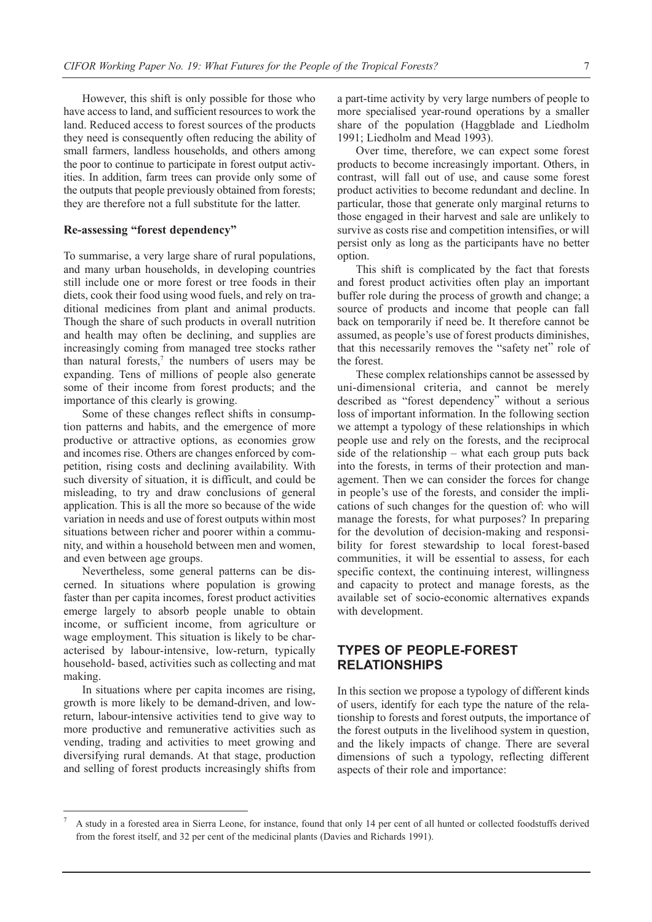<span id="page-9-0"></span>However, this shift is only possible for those who have access to land, and sufficient resources to work the land. Reduced access to forest sources of the products they need is consequently often reducing the ability of small farmers, landless households, and others among the poor to continue to participate in forest output activities. In addition, farm trees can provide only some of the outputs that people previously obtained from forests; they are therefore not a full substitute for the latter.

#### **Re-assessing "forest dependency"**

To summarise, a very large share of rural populations, and many urban households, in developing countries still include one or more forest or tree foods in their diets, cook their food using wood fuels, and rely on traditional medicines from plant and animal products. Though the share of such products in overall nutrition and health may often be declining, and supplies are increasingly coming from managed tree stocks rather than natural forests, $\bar{y}$  the numbers of users may be expanding. Tens of millions of people also generate some of their income from forest products; and the importance of this clearly is growing.

Some of these changes reflect shifts in consumption patterns and habits, and the emergence of more productive or attractive options, as economies grow and incomes rise. Others are changes enforced by competition, rising costs and declining availability. With such diversity of situation, it is difficult, and could be misleading, to try and draw conclusions of general application. This is all the more so because of the wide variation in needs and use of forest outputs within most situations between richer and poorer within a community, and within a household between men and women, and even between age groups.

Nevertheless, some general patterns can be discerned. In situations where population is growing faster than per capita incomes, forest product activities emerge largely to absorb people unable to obtain income, or sufficient income, from agriculture or wage employment. This situation is likely to be characterised by labour-intensive, low-return, typically household- based, activities such as collecting and mat making.

In situations where per capita incomes are rising, growth is more likely to be demand-driven, and lowreturn, labour-intensive activities tend to give way to more productive and remunerative activities such as vending, trading and activities to meet growing and diversifying rural demands. At that stage, production and selling of forest products increasingly shifts from

a part-time activity by very large numbers of people to more specialised year-round operations by a smaller share of the population (Haggblade and Liedholm 1991; Liedholm and Mead 1993).

Over time, therefore, we can expect some forest products to become increasingly important. Others, in contrast, will fall out of use, and cause some forest product activities to become redundant and decline. In particular, those that generate only marginal returns to those engaged in their harvest and sale are unlikely to survive as costs rise and competition intensifies, or will persist only as long as the participants have no better option.

This shift is complicated by the fact that forests and forest product activities often play an important buffer role during the process of growth and change; a source of products and income that people can fall back on temporarily if need be. It therefore cannot be assumed, as people's use of forest products diminishes, that this necessarily removes the "safety net" role of the forest.

These complex relationships cannot be assessed by uni-dimensional criteria, and cannot be merely described as "forest dependency" without a serious loss of important information. In the following section we attempt a typology of these relationships in which people use and rely on the forests, and the reciprocal side of the relationship – what each group puts back into the forests, in terms of their protection and management. Then we can consider the forces for change in people's use of the forests, and consider the implications of such changes for the question of: who will manage the forests, for what purposes? In preparing for the devolution of decision-making and responsibility for forest stewardship to local forest-based communities, it will be essential to assess, for each specific context, the continuing interest, willingness and capacity to protect and manage forests, as the available set of socio-economic alternatives expands with development.

## **TYPES OF PEOPLE-FOREST RELATIONSHIPS**

In this section we propose a typology of different kinds of users, identify for each type the nature of the relationship to forests and forest outputs, the importance of the forest outputs in the livelihood system in question, and the likely impacts of change. There are several dimensions of such a typology, reflecting different aspects of their role and importance:

<sup>7</sup> A study in a forested area in Sierra Leone, for instance, found that only 14 per cent of all hunted or collected foodstuffs derived from the forest itself, and 32 per cent of the medicinal plants (Davies and Richards 1991).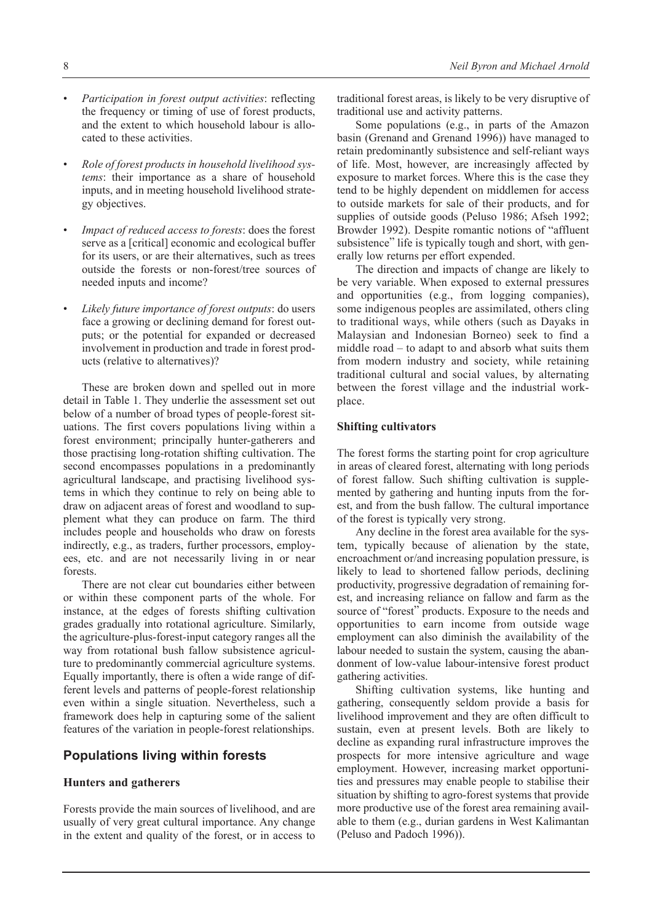- <span id="page-10-0"></span>• *Participation in forest output activities*: reflecting the frequency or timing of use of forest products, and the extent to which household labour is allocated to these activities.
- *Role of forest products in household livelihood systems*: their importance as a share of household inputs, and in meeting household livelihood strategy objectives.
- *Impact of reduced access to forests*: does the forest serve as a [critical] economic and ecological buffer for its users, or are their alternatives, such as trees outside the forests or non-forest/tree sources of needed inputs and income?
- *Likely future importance of forest outputs*: do users face a growing or declining demand for forest outputs; or the potential for expanded or decreased involvement in production and trade in forest products (relative to alternatives)?

These are broken down and spelled out in more detail in Table 1. They underlie the assessment set out below of a number of broad types of people-forest situations. The first covers populations living within a forest environment; principally hunter-gatherers and those practising long-rotation shifting cultivation. The second encompasses populations in a predominantly agricultural landscape, and practising livelihood systems in which they continue to rely on being able to draw on adjacent areas of forest and woodland to supplement what they can produce on farm. The third includes people and households who draw on forests indirectly, e.g., as traders, further processors, employees, etc. and are not necessarily living in or near forests.

There are not clear cut boundaries either between or within these component parts of the whole. For instance, at the edges of forests shifting cultivation grades gradually into rotational agriculture. Similarly, the agriculture-plus-forest-input category ranges all the way from rotational bush fallow subsistence agriculture to predominantly commercial agriculture systems. Equally importantly, there is often a wide range of different levels and patterns of people-forest relationship even within a single situation. Nevertheless, such a framework does help in capturing some of the salient features of the variation in people-forest relationships.

## **Populations living within forests**

#### **Hunters and gatherers**

Forests provide the main sources of livelihood, and are usually of very great cultural importance. Any change in the extent and quality of the forest, or in access to

traditional forest areas, is likely to be very disruptive of traditional use and activity patterns.

Some populations (e.g., in parts of the Amazon basin (Grenand and Grenand 1996)) have managed to retain predominantly subsistence and self-reliant ways of life. Most, however, are increasingly affected by exposure to market forces. Where this is the case they tend to be highly dependent on middlemen for access to outside markets for sale of their products, and for supplies of outside goods (Peluso 1986; Afseh 1992; Browder 1992). Despite romantic notions of "affluent subsistence" life is typically tough and short, with generally low returns per effort expended.

The direction and impacts of change are likely to be very variable. When exposed to external pressures and opportunities (e.g., from logging companies), some indigenous peoples are assimilated, others cling to traditional ways, while others (such as Dayaks in Malaysian and Indonesian Borneo) seek to find a middle road – to adapt to and absorb what suits them from modern industry and society, while retaining traditional cultural and social values, by alternating between the forest village and the industrial workplace.

#### **Shifting cultivators**

The forest forms the starting point for crop agriculture in areas of cleared forest, alternating with long periods of forest fallow. Such shifting cultivation is supplemented by gathering and hunting inputs from the forest, and from the bush fallow. The cultural importance of the forest is typically very strong.

Any decline in the forest area available for the system, typically because of alienation by the state, encroachment or/and increasing population pressure, is likely to lead to shortened fallow periods, declining productivity, progressive degradation of remaining forest, and increasing reliance on fallow and farm as the source of "forest" products. Exposure to the needs and opportunities to earn income from outside wage employment can also diminish the availability of the labour needed to sustain the system, causing the abandonment of low-value labour-intensive forest product gathering activities.

Shifting cultivation systems, like hunting and gathering, consequently seldom provide a basis for livelihood improvement and they are often difficult to sustain, even at present levels. Both are likely to decline as expanding rural infrastructure improves the prospects for more intensive agriculture and wage employment. However, increasing market opportunities and pressures may enable people to stabilise their situation by shifting to agro-forest systems that provide more productive use of the forest area remaining available to them (e.g., durian gardens in West Kalimantan (Peluso and Padoch 1996)).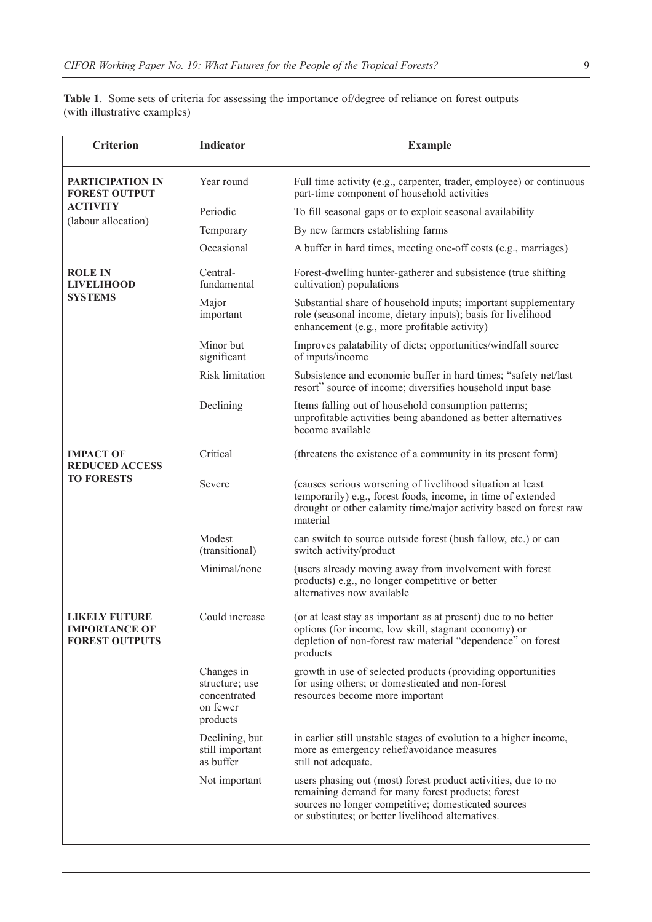**Table 1**. Some sets of criteria for assessing the importance of/degree of reliance on forest outputs (with illustrative examples)

| <b>Criterion</b>                                                                   | Indicator                                                            | <b>Example</b>                                                                                                                                                                                                                  |
|------------------------------------------------------------------------------------|----------------------------------------------------------------------|---------------------------------------------------------------------------------------------------------------------------------------------------------------------------------------------------------------------------------|
| PARTICIPATION IN<br><b>FOREST OUTPUT</b><br><b>ACTIVITY</b><br>(labour allocation) | Year round                                                           | Full time activity (e.g., carpenter, trader, employee) or continuous<br>part-time component of household activities                                                                                                             |
|                                                                                    | Periodic                                                             | To fill seasonal gaps or to exploit seasonal availability                                                                                                                                                                       |
|                                                                                    | Temporary                                                            | By new farmers establishing farms                                                                                                                                                                                               |
|                                                                                    | Occasional                                                           | A buffer in hard times, meeting one-off costs (e.g., marriages)                                                                                                                                                                 |
| <b>ROLE IN</b><br><b>LIVELIHOOD</b><br><b>SYSTEMS</b>                              | Central-<br>fundamental                                              | Forest-dwelling hunter-gatherer and subsistence (true shifting<br>cultivation) populations                                                                                                                                      |
|                                                                                    | Major<br>important                                                   | Substantial share of household inputs; important supplementary<br>role (seasonal income, dietary inputs); basis for livelihood<br>enhancement (e.g., more profitable activity)                                                  |
|                                                                                    | Minor but<br>significant                                             | Improves palatability of diets; opportunities/windfall source<br>of inputs/income                                                                                                                                               |
|                                                                                    | Risk limitation                                                      | Subsistence and economic buffer in hard times; "safety net/last<br>resort" source of income; diversifies household input base                                                                                                   |
|                                                                                    | Declining                                                            | Items falling out of household consumption patterns;<br>unprofitable activities being abandoned as better alternatives<br>become available                                                                                      |
| <b>IMPACT OF</b><br><b>REDUCED ACCESS</b><br><b>TO FORESTS</b>                     | Critical                                                             | (threatens the existence of a community in its present form)                                                                                                                                                                    |
|                                                                                    | Severe                                                               | (causes serious worsening of livelihood situation at least<br>temporarily) e.g., forest foods, income, in time of extended<br>drought or other calamity time/major activity based on forest raw<br>material                     |
|                                                                                    | Modest<br>(transitional)                                             | can switch to source outside forest (bush fallow, etc.) or can<br>switch activity/product                                                                                                                                       |
|                                                                                    | Minimal/none                                                         | (users already moving away from involvement with forest<br>products) e.g., no longer competitive or better<br>alternatives now available                                                                                        |
| <b>LIKELY FUTURE</b><br><b>IMPORTANCE OF</b><br><b>FOREST OUTPUTS</b>              | Could increase                                                       | (or at least stay as important as at present) due to no better<br>options (for income, low skill, stagnant economy) or<br>depletion of non-forest raw material "dependence" on forest<br>products                               |
|                                                                                    | Changes in<br>structure; use<br>concentrated<br>on fewer<br>products | growth in use of selected products (providing opportunities<br>for using others; or domesticated and non-forest<br>resources become more important                                                                              |
|                                                                                    | Declining, but<br>still important<br>as buffer                       | in earlier still unstable stages of evolution to a higher income,<br>more as emergency relief/avoidance measures<br>still not adequate.                                                                                         |
|                                                                                    | Not important                                                        | users phasing out (most) forest product activities, due to no<br>remaining demand for many forest products; forest<br>sources no longer competitive; domesticated sources<br>or substitutes; or better livelihood alternatives. |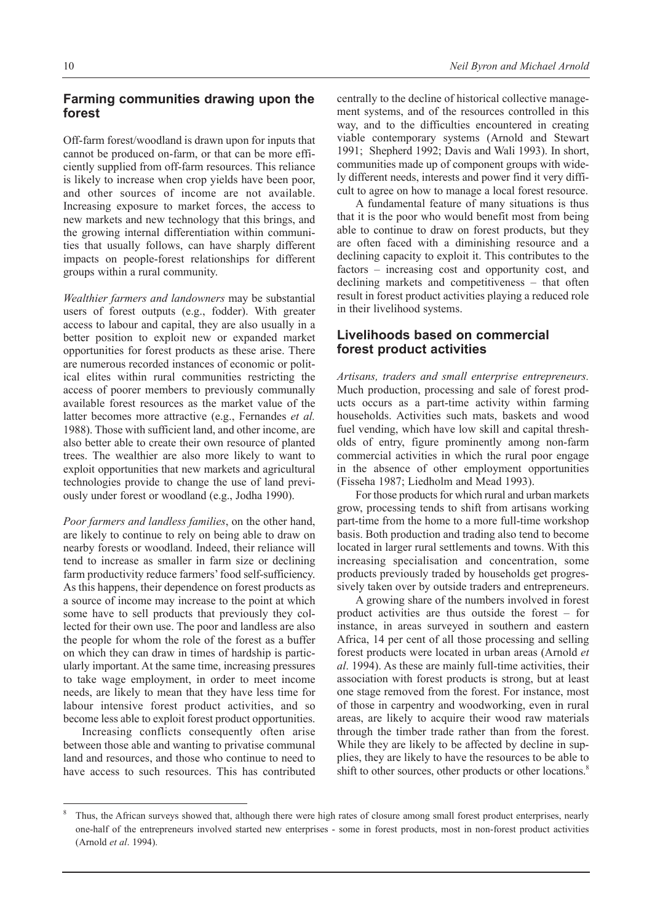## <span id="page-12-0"></span>**Farming communities drawing upon the forest**

Off-farm forest/woodland is drawn upon for inputs that cannot be produced on-farm, or that can be more efficiently supplied from off-farm resources. This reliance is likely to increase when crop yields have been poor, and other sources of income are not available. Increasing exposure to market forces, the access to new markets and new technology that this brings, and the growing internal differentiation within communities that usually follows, can have sharply different impacts on people-forest relationships for different groups within a rural community.

*Wealthier farmers and landowners* may be substantial users of forest outputs (e.g., fodder). With greater access to labour and capital, they are also usually in a better position to exploit new or expanded market opportunities for forest products as these arise. There are numerous recorded instances of economic or political elites within rural communities restricting the access of poorer members to previously communally available forest resources as the market value of the latter becomes more attractive (e.g., Fernandes *et al.* 1988). Those with sufficient land, and other income, are also better able to create their own resource of planted trees. The wealthier are also more likely to want to exploit opportunities that new markets and agricultural technologies provide to change the use of land previously under forest or woodland (e.g., Jodha 1990).

*Poor farmers and landless families*, on the other hand, are likely to continue to rely on being able to draw on nearby forests or woodland. Indeed, their reliance will tend to increase as smaller in farm size or declining farm productivity reduce farmers' food self-sufficiency. As this happens, their dependence on forest products as a source of income may increase to the point at which some have to sell products that previously they collected for their own use. The poor and landless are also the people for whom the role of the forest as a buffer on which they can draw in times of hardship is particularly important. At the same time, increasing pressures to take wage employment, in order to meet income needs, are likely to mean that they have less time for labour intensive forest product activities, and so become less able to exploit forest product opportunities.

Increasing conflicts consequently often arise between those able and wanting to privatise communal land and resources, and those who continue to need to have access to such resources. This has contributed

centrally to the decline of historical collective management systems, and of the resources controlled in this way, and to the difficulties encountered in creating viable contemporary systems (Arnold and Stewart 1991; Shepherd 1992; Davis and Wali 1993). In short, communities made up of component groups with widely different needs, interests and power find it very difficult to agree on how to manage a local forest resource.

A fundamental feature of many situations is thus that it is the poor who would benefit most from being able to continue to draw on forest products, but they are often faced with a diminishing resource and a declining capacity to exploit it. This contributes to the factors – increasing cost and opportunity cost, and declining markets and competitiveness – that often result in forest product activities playing a reduced role in their livelihood systems.

## **Livelihoods based on commercial forest product activities**

*Artisans, traders and small enterprise entrepreneurs.* Much production, processing and sale of forest products occurs as a part-time activity within farming households. Activities such mats, baskets and wood fuel vending, which have low skill and capital thresholds of entry, figure prominently among non-farm commercial activities in which the rural poor engage in the absence of other employment opportunities (Fisseha 1987; Liedholm and Mead 1993).

For those products for which rural and urban markets grow, processing tends to shift from artisans working part-time from the home to a more full-time workshop basis. Both production and trading also tend to become located in larger rural settlements and towns. With this increasing specialisation and concentration, some products previously traded by households get progressively taken over by outside traders and entrepreneurs.

A growing share of the numbers involved in forest product activities are thus outside the forest – for instance, in areas surveyed in southern and eastern Africa, 14 per cent of all those processing and selling forest products were located in urban areas (Arnold *et al*. 1994). As these are mainly full-time activities, their association with forest products is strong, but at least one stage removed from the forest. For instance, most of those in carpentry and woodworking, even in rural areas, are likely to acquire their wood raw materials through the timber trade rather than from the forest. While they are likely to be affected by decline in supplies, they are likely to have the resources to be able to shift to other sources, other products or other locations.<sup>8</sup>

Thus, the African surveys showed that, although there were high rates of closure among small forest product enterprises, nearly one-half of the entrepreneurs involved started new enterprises - some in forest products, most in non-forest product activities (Arnold *et al*. 1994).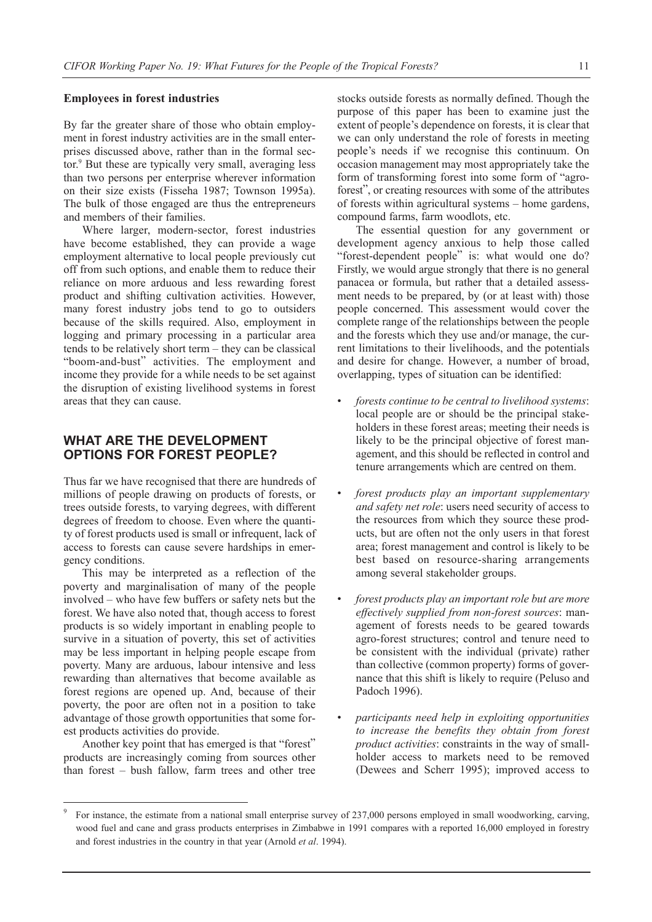#### <span id="page-13-0"></span>**Employees in forest industries**

By far the greater share of those who obtain employment in forest industry activities are in the small enterprises discussed above, rather than in the formal sector. <sup>9</sup> But these are typically very small, averaging less than two persons per enterprise wherever information on their size exists (Fisseha 1987; Townson 1995a). The bulk of those engaged are thus the entrepreneurs and members of their families.

Where larger, modern-sector, forest industries have become established, they can provide a wage employment alternative to local people previously cut off from such options, and enable them to reduce their reliance on more arduous and less rewarding forest product and shifting cultivation activities. However, many forest industry jobs tend to go to outsiders because of the skills required. Also, employment in logging and primary processing in a particular area tends to be relatively short term – they can be classical "boom-and-bust" activities. The employment and income they provide for a while needs to be set against the disruption of existing livelihood systems in forest areas that they can cause.

## **WHAT ARE THE DEVELOPMENT OPTIONS FOR FOREST PEOPLE?**

Thus far we have recognised that there are hundreds of millions of people drawing on products of forests, or trees outside forests, to varying degrees, with different degrees of freedom to choose. Even where the quantity of forest products used is small or infrequent, lack of access to forests can cause severe hardships in emergency conditions.

This may be interpreted as a reflection of the poverty and marginalisation of many of the people involved – who have few buffers or safety nets but the forest. We have also noted that, though access to forest products is so widely important in enabling people to survive in a situation of poverty, this set of activities may be less important in helping people escape from poverty. Many are arduous, labour intensive and less rewarding than alternatives that become available as forest regions are opened up. And, because of their poverty, the poor are often not in a position to take advantage of those growth opportunities that some forest products activities do provide.

Another key point that has emerged is that "forest" products are increasingly coming from sources other than forest – bush fallow, farm trees and other tree stocks outside forests as normally defined. Though the purpose of this paper has been to examine just the extent of people's dependence on forests, it is clear that we can only understand the role of forests in meeting people's needs if we recognise this continuum. On occasion management may most appropriately take the form of transforming forest into some form of "agroforest", or creating resources with some of the attributes of forests within agricultural systems – home gardens, compound farms, farm woodlots, etc.

The essential question for any government or development agency anxious to help those called "forest-dependent people" is: what would one do? Firstly, we would argue strongly that there is no general panacea or formula, but rather that a detailed assessment needs to be prepared, by (or at least with) those people concerned. This assessment would cover the complete range of the relationships between the people and the forests which they use and/or manage, the current limitations to their livelihoods, and the potentials and desire for change. However, a number of broad, overlapping, types of situation can be identified:

- *forests continue to be central to livelihood systems*: local people are or should be the principal stakeholders in these forest areas; meeting their needs is likely to be the principal objective of forest management, and this should be reflected in control and tenure arrangements which are centred on them.
- *forest products play an important supplementary and safety net role*: users need security of access to the resources from which they source these products, but are often not the only users in that forest area; forest management and control is likely to be best based on resource-sharing arrangements among several stakeholder groups.
- *forest products play an important role but are more effectively supplied from non-forest sources*: management of forests needs to be geared towards agro-forest structures; control and tenure need to be consistent with the individual (private) rather than collective (common property) forms of governance that this shift is likely to require (Peluso and Padoch 1996).
- *participants need help in exploiting opportunities to increase the benefits they obtain from forest product activities*: constraints in the way of smallholder access to markets need to be removed (Dewees and Scherr 1995); improved access to

<sup>9</sup> For instance, the estimate from a national small enterprise survey of 237,000 persons employed in small woodworking, carving, wood fuel and cane and grass products enterprises in Zimbabwe in 1991 compares with a reported 16,000 employed in forestry and forest industries in the country in that year (Arnold *et al*. 1994).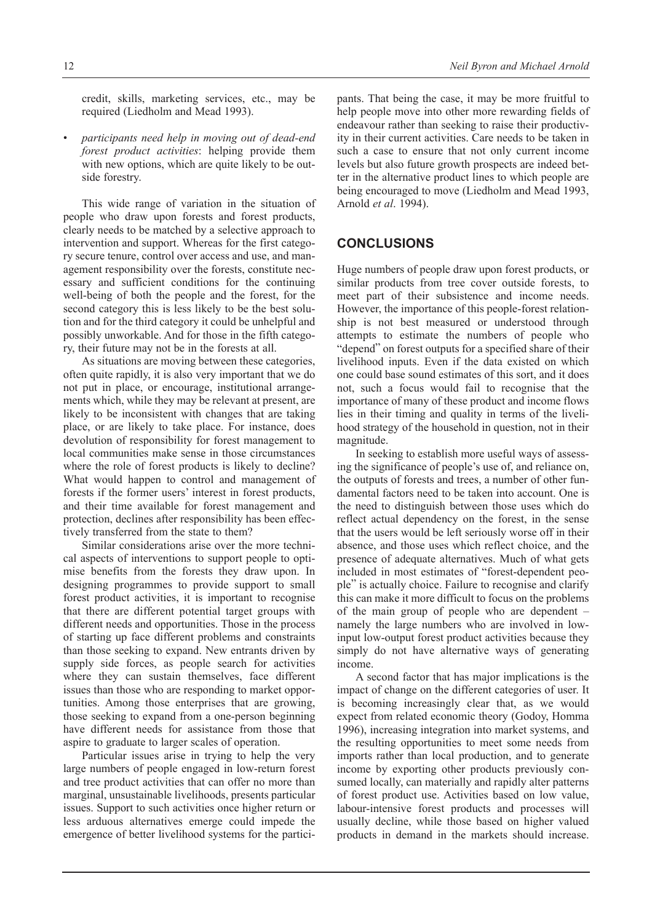<span id="page-14-0"></span>credit, skills, marketing services, etc., may be required (Liedholm and Mead 1993).

• *participants need help in moving out of dead-end forest product activities*: helping provide them with new options, which are quite likely to be outside forestry.

This wide range of variation in the situation of people who draw upon forests and forest products, clearly needs to be matched by a selective approach to intervention and support. Whereas for the first category secure tenure, control over access and use, and management responsibility over the forests, constitute necessary and sufficient conditions for the continuing well-being of both the people and the forest, for the second category this is less likely to be the best solution and for the third category it could be unhelpful and possibly unworkable. And for those in the fifth category, their future may not be in the forests at all.

As situations are moving between these categories, often quite rapidly, it is also very important that we do not put in place, or encourage, institutional arrangements which, while they may be relevant at present, are likely to be inconsistent with changes that are taking place, or are likely to take place. For instance, does devolution of responsibility for forest management to local communities make sense in those circumstances where the role of forest products is likely to decline? What would happen to control and management of forests if the former users' interest in forest products, and their time available for forest management and protection, declines after responsibility has been effectively transferred from the state to them?

Similar considerations arise over the more technical aspects of interventions to support people to optimise benefits from the forests they draw upon. In designing programmes to provide support to small forest product activities, it is important to recognise that there are different potential target groups with different needs and opportunities. Those in the process of starting up face different problems and constraints than those seeking to expand. New entrants driven by supply side forces, as people search for activities where they can sustain themselves, face different issues than those who are responding to market opportunities. Among those enterprises that are growing, those seeking to expand from a one-person beginning have different needs for assistance from those that aspire to graduate to larger scales of operation.

Particular issues arise in trying to help the very large numbers of people engaged in low-return forest and tree product activities that can offer no more than marginal, unsustainable livelihoods, presents particular issues. Support to such activities once higher return or less arduous alternatives emerge could impede the emergence of better livelihood systems for the participants. That being the case, it may be more fruitful to help people move into other more rewarding fields of endeavour rather than seeking to raise their productivity in their current activities. Care needs to be taken in such a case to ensure that not only current income levels but also future growth prospects are indeed better in the alternative product lines to which people are being encouraged to move (Liedholm and Mead 1993, Arnold *et al*. 1994).

## **CONCLUSIONS**

Huge numbers of people draw upon forest products, or similar products from tree cover outside forests, to meet part of their subsistence and income needs. However, the importance of this people-forest relationship is not best measured or understood through attempts to estimate the numbers of people who "depend" on forest outputs for a specified share of their livelihood inputs. Even if the data existed on which one could base sound estimates of this sort, and it does not, such a focus would fail to recognise that the importance of many of these product and income flows lies in their timing and quality in terms of the livelihood strategy of the household in question, not in their magnitude.

In seeking to establish more useful ways of assessing the significance of people's use of, and reliance on, the outputs of forests and trees, a number of other fundamental factors need to be taken into account. One is the need to distinguish between those uses which do reflect actual dependency on the forest, in the sense that the users would be left seriously worse off in their absence, and those uses which reflect choice, and the presence of adequate alternatives. Much of what gets included in most estimates of "forest-dependent people" is actually choice. Failure to recognise and clarify this can make it more difficult to focus on the problems of the main group of people who are dependent – namely the large numbers who are involved in lowinput low-output forest product activities because they simply do not have alternative ways of generating income.

A second factor that has major implications is the impact of change on the different categories of user. It is becoming increasingly clear that, as we would expect from related economic theory (Godoy, Homma 1996), increasing integration into market systems, and the resulting opportunities to meet some needs from imports rather than local production, and to generate income by exporting other products previously consumed locally, can materially and rapidly alter patterns of forest product use. Activities based on low value, labour-intensive forest products and processes will usually decline, while those based on higher valued products in demand in the markets should increase.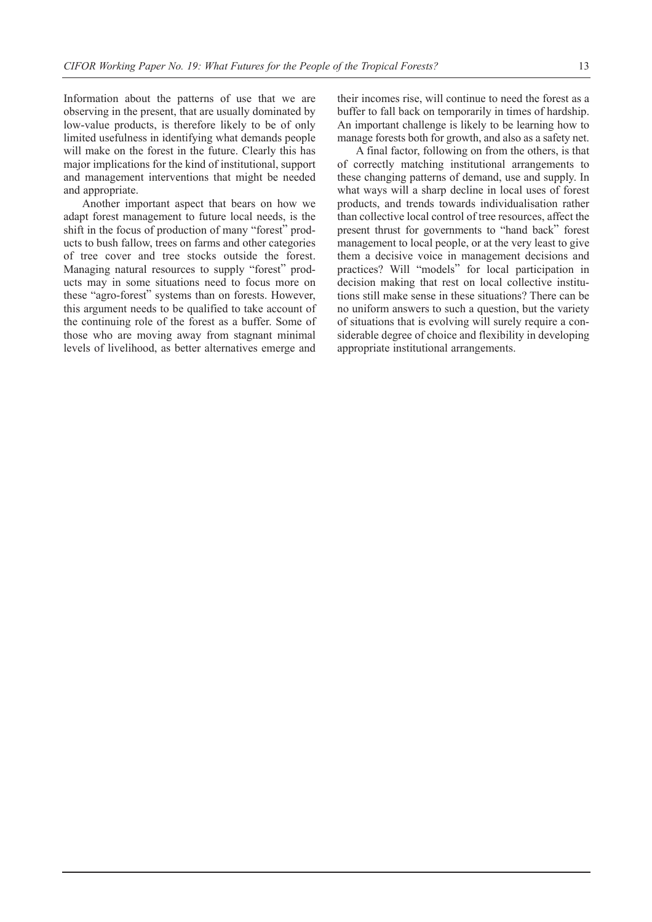Information about the patterns of use that we are observing in the present, that are usually dominated by low-value products, is therefore likely to be of only limited usefulness in identifying what demands people will make on the forest in the future. Clearly this has major implications for the kind of institutional, support and management interventions that might be needed and appropriate.

Another important aspect that bears on how we adapt forest management to future local needs, is the shift in the focus of production of many "forest" products to bush fallow, trees on farms and other categories of tree cover and tree stocks outside the forest. Managing natural resources to supply "forest" products may in some situations need to focus more on these "agro-forest" systems than on forests. However, this argument needs to be qualified to take account of the continuing role of the forest as a buffer. Some of those who are moving away from stagnant minimal levels of livelihood, as better alternatives emerge and their incomes rise, will continue to need the forest as a buffer to fall back on temporarily in times of hardship. An important challenge is likely to be learning how to manage forests both for growth, and also as a safety net.

A final factor, following on from the others, is that of correctly matching institutional arrangements to these changing patterns of demand, use and supply. In what ways will a sharp decline in local uses of forest products, and trends towards individualisation rather than collective local control of tree resources, affect the present thrust for governments to "hand back" forest management to local people, or at the very least to give them a decisive voice in management decisions and practices? Will "models" for local participation in decision making that rest on local collective institutions still make sense in these situations? There can be no uniform answers to such a question, but the variety of situations that is evolving will surely require a considerable degree of choice and flexibility in developing appropriate institutional arrangements.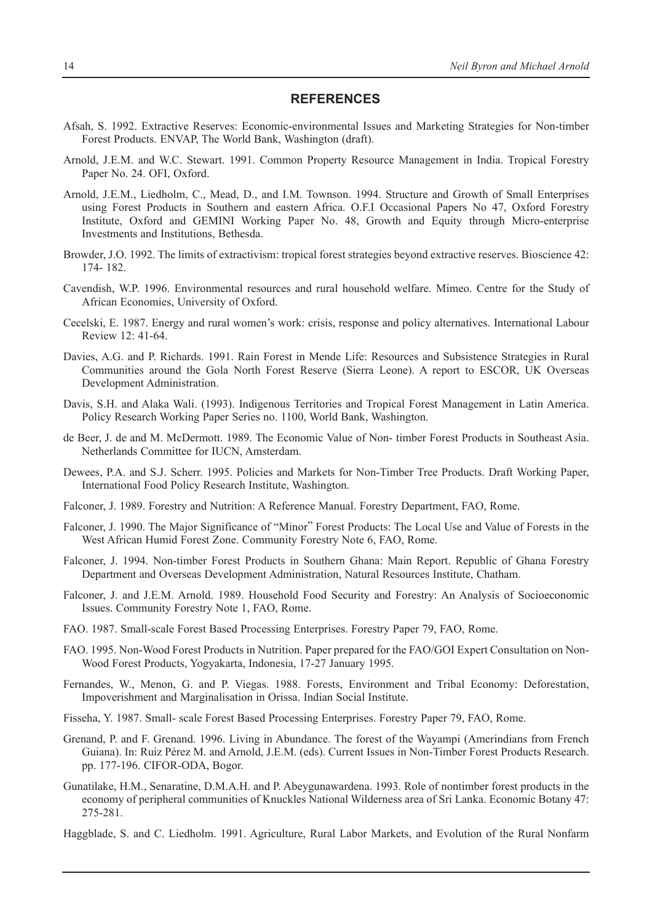#### **REFERENCES**

- <span id="page-16-0"></span>Afsah, S. 1992. Extractive Reserves: Economic-environmental Issues and Marketing Strategies for Non-timber Forest Products. ENVAP, The World Bank, Washington (draft).
- Arnold, J.E.M. and W.C. Stewart. 1991. Common Property Resource Management in India. Tropical Forestry Paper No. 24. OFI, Oxford.
- Arnold, J.E.M., Liedholm, C., Mead, D., and I.M. Townson. 1994. Structure and Growth of Small Enterprises using Forest Products in Southern and eastern Africa. O.F.I Occasional Papers No 47, Oxford Forestry Institute, Oxford and GEMINI Working Paper No. 48, Growth and Equity through Micro-enterprise Investments and Institutions, Bethesda.
- Browder, J.O. 1992. The limits of extractivism: tropical forest strategies beyond extractive reserves. Bioscience 42: 174- 182.
- Cavendish, W.P. 1996. Environmental resources and rural household welfare. Mimeo. Centre for the Study of African Economies, University of Oxford.
- Cecelski, E. 1987. Energy and rural women's work: crisis, response and policy alternatives. International Labour Review 12: 41-64.
- Davies, A.G. and P. Richards. 1991. Rain Forest in Mende Life: Resources and Subsistence Strategies in Rural Communities around the Gola North Forest Reserve (Sierra Leone). A report to ESCOR, UK Overseas Development Administration.
- Davis, S.H. and Alaka Wali. (1993). Indigenous Territories and Tropical Forest Management in Latin America. Policy Research Working Paper Series no. 1100, World Bank, Washington.
- de Beer, J. de and M. McDermott. 1989. The Economic Value of Non- timber Forest Products in Southeast Asia. Netherlands Committee for IUCN, Amsterdam.
- Dewees, P.A. and S.J. Scherr. 1995. Policies and Markets for Non-Timber Tree Products. Draft Working Paper, International Food Policy Research Institute, Washington.
- Falconer, J. 1989. Forestry and Nutrition: A Reference Manual. Forestry Department, FAO, Rome.
- Falconer, J. 1990. The Major Significance of "Minor" Forest Products: The Local Use and Value of Forests in the West African Humid Forest Zone. Community Forestry Note 6, FAO, Rome.
- Falconer, J. 1994. Non-timber Forest Products in Southern Ghana: Main Report. Republic of Ghana Forestry Department and Overseas Development Administration, Natural Resources Institute, Chatham.
- Falconer, J. and J.E.M. Arnold. 1989. Household Food Security and Forestry: An Analysis of Socioeconomic Issues. Community Forestry Note 1, FAO, Rome.
- FAO. 1987. Small-scale Forest Based Processing Enterprises. Forestry Paper 79, FAO, Rome.
- FAO. 1995. Non-Wood Forest Products in Nutrition. Paper prepared for the FAO/GOI Expert Consultation on Non-Wood Forest Products, Yogyakarta, Indonesia, 17-27 January 1995.
- Fernandes, W., Menon, G. and P. Viegas. 1988. Forests, Environment and Tribal Economy: Deforestation, Impoverishment and Marginalisation in Orissa. Indian Social Institute.
- Fisseha, Y. 1987. Small- scale Forest Based Processing Enterprises. Forestry Paper 79, FAO, Rome.
- Grenand, P. and F. Grenand. 1996. Living in Abundance. The forest of the Wayampi (Amerindians from French Guiana). In: Ruiz Pérez M. and Arnold, J.E.M. (eds). Current Issues in Non-Timber Forest Products Research. pp. 177-196. CIFOR-ODA, Bogor.
- Gunatilake, H.M., Senaratine, D.M.A.H. and P. Abeygunawardena. 1993. Role of nontimber forest products in the economy of peripheral communities of Knuckles National Wilderness area of Sri Lanka. Economic Botany 47: 275-281.
- Haggblade, S. and C. Liedholm. 1991. Agriculture, Rural Labor Markets, and Evolution of the Rural Nonfarm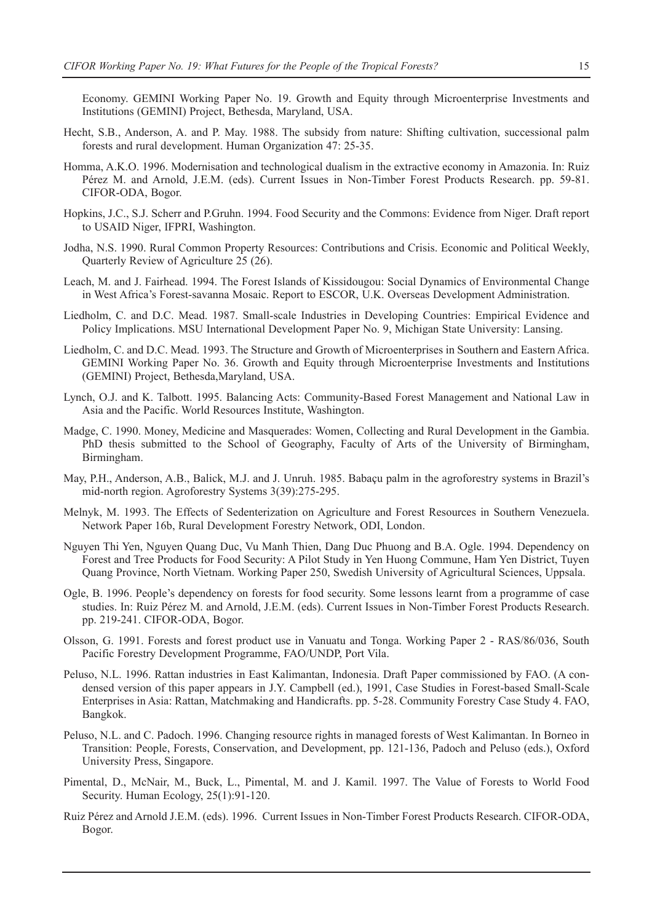Economy. GEMINI Working Paper No. 19. Growth and Equity through Microenterprise Investments and Institutions (GEMINI) Project, Bethesda, Maryland, USA.

- Hecht, S.B., Anderson, A. and P. May. 1988. The subsidy from nature: Shifting cultivation, successional palm forests and rural development. Human Organization 47: 25-35.
- Homma, A.K.O. 1996. Modernisation and technological dualism in the extractive economy in Amazonia. In: Ruiz Pérez M. and Arnold, J.E.M. (eds). Current Issues in Non-Timber Forest Products Research. pp. 59-81. CIFOR-ODA, Bogor.
- Hopkins, J.C., S.J. Scherr and P.Gruhn. 1994. Food Security and the Commons: Evidence from Niger. Draft report to USAID Niger, IFPRI, Washington.
- Jodha, N.S. 1990. Rural Common Property Resources: Contributions and Crisis. Economic and Political Weekly, Quarterly Review of Agriculture 25 (26).
- Leach, M. and J. Fairhead. 1994. The Forest Islands of Kissidougou: Social Dynamics of Environmental Change in West Africa's Forest-savanna Mosaic. Report to ESCOR, U.K. Overseas Development Administration.
- Liedholm, C. and D.C. Mead. 1987. Small-scale Industries in Developing Countries: Empirical Evidence and Policy Implications. MSU International Development Paper No. 9, Michigan State University: Lansing.
- Liedholm, C. and D.C. Mead. 1993. The Structure and Growth of Microenterprises in Southern and Eastern Africa. GEMINI Working Paper No. 36. Growth and Equity through Microenterprise Investments and Institutions (GEMINI) Project, Bethesda,Maryland, USA.
- Lynch, O.J. and K. Talbott. 1995. Balancing Acts: Community-Based Forest Management and National Law in Asia and the Pacific. World Resources Institute, Washington.
- Madge, C. 1990. Money, Medicine and Masquerades: Women, Collecting and Rural Development in the Gambia. PhD thesis submitted to the School of Geography, Faculty of Arts of the University of Birmingham, Birmingham.
- May, P.H., Anderson, A.B., Balick, M.J. and J. Unruh. 1985. Babaçu palm in the agroforestry systems in Brazil's mid-north region. Agroforestry Systems 3(39):275-295.
- Melnyk, M. 1993. The Effects of Sedenterization on Agriculture and Forest Resources in Southern Venezuela. Network Paper 16b, Rural Development Forestry Network, ODI, London.
- Nguyen Thi Yen, Nguyen Quang Duc, Vu Manh Thien, Dang Duc Phuong and B.A. Ogle. 1994. Dependency on Forest and Tree Products for Food Security: A Pilot Study in Yen Huong Commune, Ham Yen District, Tuyen Quang Province, North Vietnam. Working Paper 250, Swedish University of Agricultural Sciences, Uppsala.
- Ogle, B. 1996. People's dependency on forests for food security. Some lessons learnt from a programme of case studies. In: Ruiz Pérez M. and Arnold, J.E.M. (eds). Current Issues in Non-Timber Forest Products Research. pp. 219-241. CIFOR-ODA, Bogor.
- Olsson, G. 1991. Forests and forest product use in Vanuatu and Tonga. Working Paper 2 RAS/86/036, South Pacific Forestry Development Programme, FAO/UNDP, Port Vila.
- Peluso, N.L. 1996. Rattan industries in East Kalimantan, Indonesia. Draft Paper commissioned by FAO. (A condensed version of this paper appears in J.Y. Campbell (ed.), 1991, Case Studies in Forest-based Small-Scale Enterprises in Asia: Rattan, Matchmaking and Handicrafts. pp. 5-28. Community Forestry Case Study 4. FAO, Bangkok.
- Peluso, N.L. and C. Padoch. 1996. Changing resource rights in managed forests of West Kalimantan. In Borneo in Transition: People, Forests, Conservation, and Development, pp. 121-136, Padoch and Peluso (eds.), Oxford University Press, Singapore.
- Pimental, D., McNair, M., Buck, L., Pimental, M. and J. Kamil. 1997. The Value of Forests to World Food Security. Human Ecology, 25(1):91-120.
- Ruiz Pérez and Arnold J.E.M. (eds). 1996. Current Issues in Non-Timber Forest Products Research. CIFOR-ODA, Bogor.